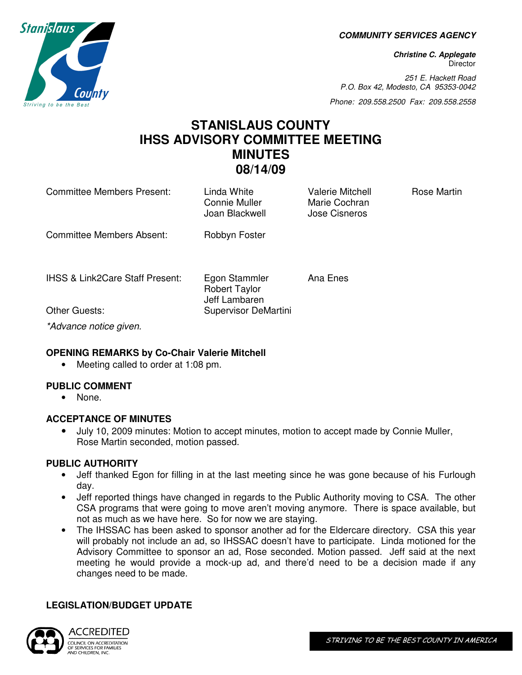**COMMUNITY SERVICES AGENCY** 

**Christine C. Applegate Director** 

251 E. Hackett Road P.O. Box 42, Modesto, CA 95353-0042

Phone: 209.558.2500 Fax: 209.558.2558

# **STANISLAUS COUNTY IHSS ADVISORY COMMITTEE MEETING MINUTES 08/14/09**

Connie Muller Marie Cochran

Committee Members Present: Linda White Valerie Mitchell Rose Martin

Committee Members Absent: Robbyn Foster

IHSS & Link2Care Staff Present: Egon Stammler Ana Enes

Joan Blackwell Jose Cisneros

Robert Taylor Jeff Lambaren

Other Guests: Supervisor DeMartini

\*Advance notice given.

## **OPENING REMARKS by Co-Chair Valerie Mitchell**

• Meeting called to order at 1:08 pm.

## **PUBLIC COMMENT**

• None.

## **ACCEPTANCE OF MINUTES**

• July 10, 2009 minutes: Motion to accept minutes, motion to accept made by Connie Muller, Rose Martin seconded, motion passed.

## **PUBLIC AUTHORITY**

- Jeff thanked Egon for filling in at the last meeting since he was gone because of his Furlough day.
- Jeff reported things have changed in regards to the Public Authority moving to CSA. The other CSA programs that were going to move aren't moving anymore. There is space available, but not as much as we have here. So for now we are staying.
- The IHSSAC has been asked to sponsor another ad for the Eldercare directory. CSA this year will probably not include an ad, so IHSSAC doesn't have to participate. Linda motioned for the Advisory Committee to sponsor an ad, Rose seconded. Motion passed. Jeff said at the next meeting he would provide a mock-up ad, and there'd need to be a decision made if any changes need to be made.

## **LEGISLATION/BUDGET UPDATE**